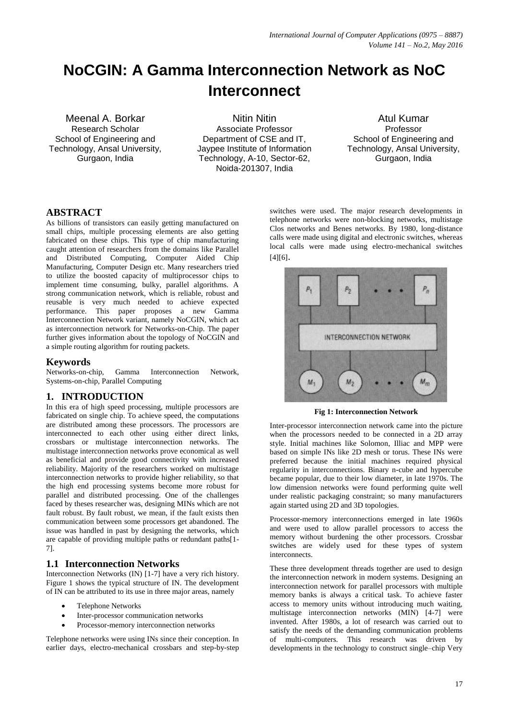# **NoCGIN: A Gamma Interconnection Network as NoC Interconnect**

Meenal A. Borkar Research Scholar School of Engineering and Technology, Ansal University, Gurgaon, India

Nitin Nitin Associate Professor Department of CSE and IT, Jaypee Institute of Information Technology, A-10, Sector-62, Noida-201307, India

Atul Kumar Professor School of Engineering and Technology, Ansal University, Gurgaon, India

## **ABSTRACT**

As billions of transistors can easily getting manufactured on small chips, multiple processing elements are also getting fabricated on these chips. This type of chip manufacturing caught attention of researchers from the domains like Parallel and Distributed Computing, Computer Aided Chip Manufacturing, Computer Design etc. Many researchers tried to utilize the boosted capacity of multiprocessor chips to implement time consuming, bulky, parallel algorithms. A strong communication network, which is reliable, robust and reusable is very much needed to achieve expected performance. This paper proposes a new Gamma Interconnection Network variant, namely NoCGIN, which act as interconnection network for Networks-on-Chip. The paper further gives information about the topology of NoCGIN and a simple routing algorithm for routing packets.

## **Keywords**

Networks-on-chip, Gamma Interconnection Network, Systems-on-chip, Parallel Computing

# **1. INTRODUCTION**

In this era of high speed processing, multiple processors are fabricated on single chip. To achieve speed, the computations are distributed among these processors. The processors are interconnected to each other using either direct links, crossbars or multistage interconnection networks. The multistage interconnection networks prove economical as well as beneficial and provide good connectivity with increased reliability. Majority of the researchers worked on multistage interconnection networks to provide higher reliability, so that the high end processing systems become more robust for parallel and distributed processing. One of the challenges faced by theses researcher was, designing MINs which are not fault robust. By fault robust, we mean, if the fault exists then communication between some processors get abandoned. The issue was handled in past by designing the networks, which are capable of providing multiple paths or redundant paths[1- 7].

# **1.1 Interconnection Networks**

Interconnection Networks (IN) [1-7] have a very rich history. Figure 1 shows the typical structure of IN. The development of IN can be attributed to its use in three major areas, namely

- Telephone Networks
- Inter-processor communication networks
- Processor-memory interconnection networks

Telephone networks were using INs since their conception. In earlier days, electro-mechanical crossbars and step-by-step switches were used. The major research developments in telephone networks were non-blocking networks, multistage Clos networks and Benes networks. By 1980, long-distance calls were made using digital and electronic switches, whereas local calls were made using electro-mechanical switches [4][6].



**Fig 1: Interconnection Network**

Inter-processor interconnection network came into the picture when the processors needed to be connected in a 2D array style. Initial machines like Solomon, Illiac and MPP were based on simple INs like 2D mesh or torus. These INs were preferred because the initial machines required physical regularity in interconnections. Binary n-cube and hypercube became popular, due to their low diameter, in late 1970s. The low dimension networks were found performing quite well under realistic packaging constraint; so many manufacturers again started using 2D and 3D topologies.

Processor-memory interconnections emerged in late 1960s and were used to allow parallel processors to access the memory without burdening the other processors. Crossbar switches are widely used for these types of system interconnects.

These three development threads together are used to design the interconnection network in modern systems. Designing an interconnection network for parallel processors with multiple memory banks is always a critical task. To achieve faster access to memory units without introducing much waiting, multistage interconnection networks (MIN) [4-7] were invented. After 1980s, a lot of research was carried out to satisfy the needs of the demanding communication problems of multi-computers. This research was driven by developments in the technology to construct single–chip Very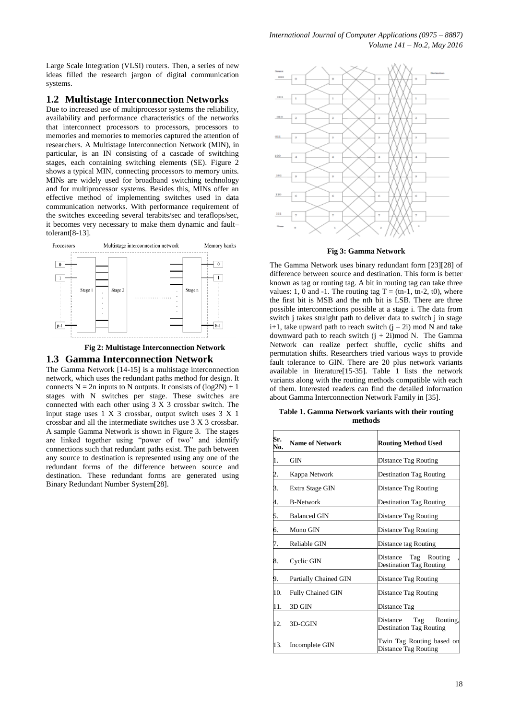Large Scale Integration (VLSI) routers. Then, a series of new ideas filled the research jargon of digital communication systems.

#### **1.2 Multistage Interconnection Networks**

Due to increased use of multiprocessor systems the reliability, availability and performance characteristics of the networks that interconnect processors to processors, processors to memories and memories to memories captured the attention of researchers. A Multistage Interconnection Network (MIN), in particular, is an IN consisting of a cascade of switching stages, each containing switching elements (SE). Figure 2 shows a typical MIN, connecting processors to memory units. MINs are widely used for broadband switching technology and for multiprocessor systems. Besides this, MINs offer an effective method of implementing switches used in data communication networks. With performance requirement of the switches exceeding several terabits/sec and teraflops/sec, it becomes very necessary to make them dynamic and fault– tolerant[8-13].





#### **1.3 Gamma Interconnection Network**

The Gamma Network [14-15] is a multistage interconnection network, which uses the redundant paths method for design. It connects  $N = 2n$  inputs to N outputs. It consists of  $(log 2N) + 1$ stages with N switches per stage. These switches are connected with each other using 3 X 3 crossbar switch. The input stage uses 1 X 3 crossbar, output switch uses 3 X 1 crossbar and all the intermediate switches use 3 X 3 crossbar. A sample Gamma Network is shown in Figure 3. The stages are linked together using "power of two" and identify connections such that redundant paths exist. The path between any source to destination is represented using any one of the redundant forms of the difference between source and destination. These redundant forms are generated using Binary Redundant Number System[28].



**Fig 3: Gamma Network**

The Gamma Network uses binary redundant form [23][28] of difference between source and destination. This form is better known as tag or routing tag. A bit in routing tag can take three values: 1, 0 and -1. The routing tag  $T = (tn-1, tn-2, t0)$ , where the first bit is MSB and the nth bit is LSB. There are three possible interconnections possible at a stage i. The data from switch j takes straight path to deliver data to switch j in stage  $i+1$ , take upward path to reach switch  $(j - 2i)$  mod N and take downward path to reach switch  $(j + 2i)$  mod N. The Gamma Network can realize perfect shuffle, cyclic shifts and permutation shifts. Researchers tried various ways to provide fault tolerance to GIN. There are 20 plus network variants available in literature[15-35]. Table 1 lists the network variants along with the routing methods compatible with each of them. Interested readers can find the detailed information about Gamma Interconnection Network Family in [35].

| Sr.<br>No.       | <b>Name of Network</b>   | <b>Routing Method Used</b>                                 |
|------------------|--------------------------|------------------------------------------------------------|
| 1.               | GIN                      | Distance Tag Routing                                       |
| $\overline{c}$ . | Kappa Network            | Destination Tag Routing                                    |
| 3.               | Extra Stage GIN          | Distance Tag Routing                                       |
| 4.               | <b>B-Network</b>         | Destination Tag Routing                                    |
| 5.               | <b>Balanced GIN</b>      | Distance Tag Routing                                       |
| 6.               | Mono GIN                 | Distance Tag Routing                                       |
| 7.               | Reliable GIN             | Distance tag Routing                                       |
| 8.               | Cyclic GIN               | Distance Tag Routing<br>Destination Tag Routing            |
| 9.               | Partially Chained GIN    | Distance Tag Routing                                       |
| 10.              | <b>Fully Chained GIN</b> | Distance Tag Routing                                       |
| 11.              | 3D GIN                   | Distance Tag                                               |
| 12.              | 3D-CGIN                  | Tag Routing,<br>Distance<br><b>Destination Tag Routing</b> |
| 13.              | Incomplete GIN           | Twin Tag Routing based on<br>Distance Tag Routing          |

**Table 1. Gamma Network variants with their routing methods**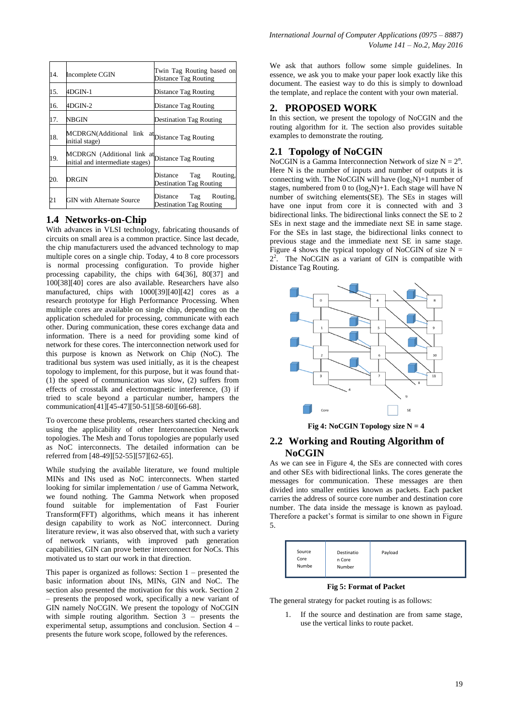| 14. | Incomplete CGIN                                                                     | Twin Tag Routing based on<br>Distance Tag Routing             |
|-----|-------------------------------------------------------------------------------------|---------------------------------------------------------------|
| 15. | 4DGIN-1                                                                             | Distance Tag Routing                                          |
| 16. | 4DGIN-2                                                                             | Distance Tag Routing                                          |
| 17. | NBGIN                                                                               | <b>Destination Tag Routing</b>                                |
| 18. | MCDRGN(Additional link at Distance Tag Routing<br>initial stage)                    |                                                               |
| 19. | MCDRGN (Additional link at Distance Tag Routing<br>initial and intermediate stages) |                                                               |
| 20. | DRGIN                                                                               | Distance Tag Routing,<br><b>Destination Tag Routing</b>       |
| 21  | <b>GIN with Alternate Source</b>                                                    | Routing,<br>Tag<br>Distance<br><b>Destination Tag Routing</b> |

## **1.4 Networks-on-Chip**

With advances in VLSI technology, fabricating thousands of circuits on small area is a common practice. Since last decade, the chip manufacturers used the advanced technology to map multiple cores on a single chip. Today, 4 to 8 core processors is normal processing configuration. To provide higher processing capability, the chips with 64[36], 80[37] and 100[38][40] cores are also available. Researchers have also manufactured, chips with 1000[39][40][42] cores as a research prototype for High Performance Processing. When multiple cores are available on single chip, depending on the application scheduled for processing, communicate with each other. During communication, these cores exchange data and information. There is a need for providing some kind of network for these cores. The interconnection network used for this purpose is known as Network on Chip (NoC). The traditional bus system was used initially, as it is the cheapest topology to implement, for this purpose, but it was found that- (1) the speed of communication was slow, (2) suffers from effects of crosstalk and electromagnetic interference, (3) if tried to scale beyond a particular number, hampers the communication[41][45-47][50-51][58-60][66-68].

To overcome these problems, researchers started checking and using the applicability of other Interconnection Network topologies. The Mesh and Torus topologies are popularly used as NoC interconnects. The detailed information can be referred from [48-49][52-55][57][62-65].

While studying the available literature, we found multiple MINs and INs used as NoC interconnects. When started looking for similar implementation / use of Gamma Network, we found nothing. The Gamma Network when proposed found suitable for implementation of Fast Fourier Transform(FFT) algorithms, which means it has inherent design capability to work as NoC interconnect. During literature review, it was also observed that, with such a variety of network variants, with improved path generation capabilities, GIN can prove better interconnect for NoCs. This motivated us to start our work in that direction.

This paper is organized as follows: Section 1 – presented the basic information about INs, MINs, GIN and NoC. The section also presented the motivation for this work. Section 2 – presents the proposed work, specifically a new variant of GIN namely NoCGIN. We present the topology of NoCGIN with simple routing algorithm. Section 3 – presents the experimental setup, assumptions and conclusion. Section 4 – presents the future work scope, followed by the references.

We ask that authors follow some simple guidelines. In essence, we ask you to make your paper look exactly like this document. The easiest way to do this is simply to download the template, and replace the content with your own material.

## **2. PROPOSED WORK**

In this section, we present the topology of NoCGIN and the routing algorithm for it. The section also provides suitable examples to demonstrate the routing.

## **2.1 Topology of NoCGIN**

NoCGIN is a Gamma Interconnection Network of size  $N = 2<sup>n</sup>$ . Here N is the number of inputs and number of outputs it is connecting with. The NoCGIN will have  $(log_2N)+1$  number of stages, numbered from 0 to  $(log_2N)+1$ . Each stage will have N number of switching elements(SE). The SEs in stages will have one input from core it is connected with and 3 bidirectional links. The bidirectional links connect the SE to 2 SEs in next stage and the immediate next SE in same stage. For the SEs in last stage, the bidirectional links connect to previous stage and the immediate next SE in same stage. Figure 4 shows the typical topology of NoCGIN of size  $N =$ 2 2 . The NoCGIN as a variant of GIN is compatible with Distance Tag Routing.



**Fig 4: NoCGIN Topology size N = 4**

## **2.2 Working and Routing Algorithm of NoCGIN**

As we can see in Figure 4, the SEs are connected with cores and other SEs with bidirectional links. The cores generate the messages for communication. These messages are then divided into smaller entities known as packets. Each packet carries the address of source core number and destination core number. The data inside the message is known as payload. Therefore a packet's format is similar to one shown in Figure 5.



#### **Fig 5: Format of Packet**

The general strategy for packet routing is as follows:

1. If the source and destination are from same stage, use the vertical links to route packet.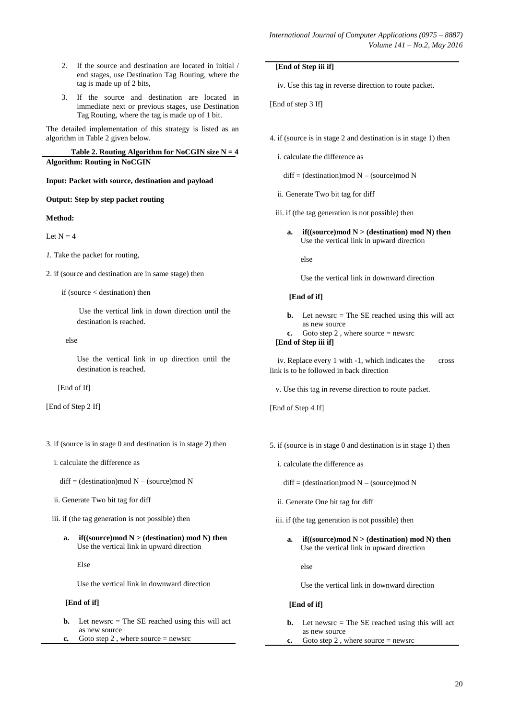- 2. If the source and destination are located in initial / end stages, use Destination Tag Routing, where the tag is made up of 2 bits,
- 3. If the source and destination are located in immediate next or previous stages, use Destination Tag Routing, where the tag is made up of 1 bit.

The detailed implementation of this strategy is listed as an algorithm in Table 2 given below.

Table 2. Routing Algorithm for NoCGIN size  $N = 4$ **Algorithm: Routing in NoCGIN**

#### **Input: Packet with source, destination and payload**

#### **Output: Step by step packet routing**

#### **Method:**

Let  $N - 4$ 

- *1.* Take the packet for routing,
- 2. if (source and destination are in same stage) then

if (source < destination) then

Use the vertical link in down direction until the destination is reached.

else

Use the vertical link in up direction until the destination is reached.

[End of If]

[End of Step 2 If]

- 3. if (source is in stage 0 and destination is in stage 2) then
	- i. calculate the difference as
		- $diff = (destination)mod N (source)mod N$
	- ii. Generate Two bit tag for diff
	- iii. if (the tag generation is not possible) then
		- **a. if**((source)mod  $N$  > (destination) mod N) then Use the vertical link in upward direction

#### Else

Use the vertical link in downward direction

## **[End of if]**

- **b.** Let newsrc = The SE reached using this will act as new source
- **c.** Goto step 2 , where source = newsrc

#### **[End of Step iii if]**

iv. Use this tag in reverse direction to route packet.

[End of step 3 If]

- 4. if (source is in stage 2 and destination is in stage 1) then
	- i. calculate the difference as

 $diff = (destination) \text{mod } N - (source) \text{mod } N$ 

- ii. Generate Two bit tag for diff
- iii. if (the tag generation is not possible) then
	- **a. if**((source)mod  $N$  > (destination) mod N) then Use the vertical link in upward direction

else

Use the vertical link in downward direction

#### **[End of if]**

- **b.** Let newsrc = The SE reached using this will act as new source
- **c.** Goto step 2 , where source = newsrc

## **[End of Step iii if]**

 iv. Replace every 1 with -1, which indicates the cross link is to be followed in back direction

v. Use this tag in reverse direction to route packet.

[End of Step 4 If]

- 5. if (source is in stage 0 and destination is in stage 1) then
	- i. calculate the difference as
		- $diff = (destination) \text{mod } N (source) \text{mod } N$
	- ii. Generate One bit tag for diff
	- iii. if (the tag generation is not possible) then
		- **a. if**((source)mod  $N$  > (destination) mod N) then Use the vertical link in upward direction

else

Use the vertical link in downward direction

#### **[End of if]**

- **b.** Let newsrc = The SE reached using this will act as new source
- **c.** Goto step 2, where source = newsrc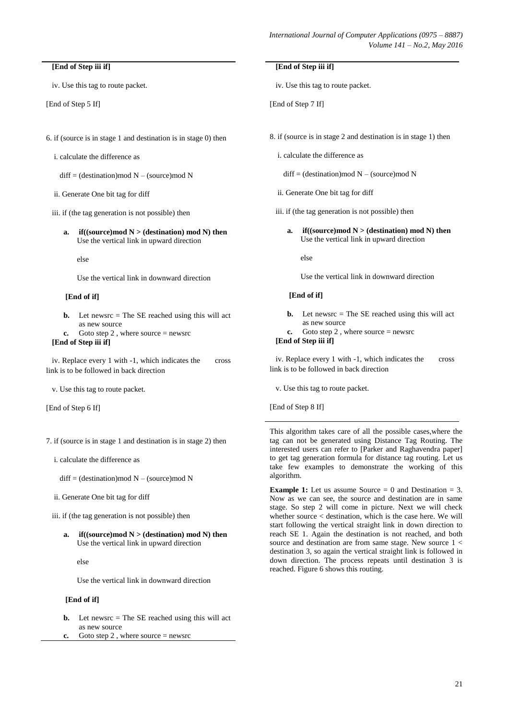#### **[End of Step iii if]**

iv. Use this tag to route packet.

[End of Step 5 If]

- 6. if (source is in stage 1 and destination is in stage 0) then
	- i. calculate the difference as
		- $diff = (destination) \text{mod } N (source) \text{mod } N$
	- ii. Generate One bit tag for diff
	- iii. if (the tag generation is not possible) then
		- **a. if**((source)mod  $N$  > (destination) mod N) then Use the vertical link in upward direction

else

Use the vertical link in downward direction

#### **[End of if]**

- **b.** Let newsrc = The SE reached using this will act as new source
- **c.** Goto step 2 , where source = newsrc

## **[End of Step iii if]**

 iv. Replace every 1 with -1, which indicates the cross link is to be followed in back direction

v. Use this tag to route packet.

[End of Step 6 If]

7. if (source is in stage 1 and destination is in stage 2) then

i. calculate the difference as

 $diff = (destination) \text{mod } N - (source) \text{mod } N$ 

- ii. Generate One bit tag for diff
- iii. if (the tag generation is not possible) then
	- **a. if**((source)mod  $N$  > (destination) mod N) then Use the vertical link in upward direction

else

Use the vertical link in downward direction

#### **[End of if]**

- **b.** Let newsrc  $=$  The SE reached using this will act as new source
- **c.** Goto step 2 , where source = newsrc

#### **[End of Step iii if]**

iv. Use this tag to route packet.

[End of Step 7 If]

- 8. if (source is in stage 2 and destination is in stage 1) then
	- i. calculate the difference as

 $diff = (destination) \text{mod } N - (source) \text{mod } N$ 

- ii. Generate One bit tag for diff
- iii. if (the tag generation is not possible) then
	- **a. if**((source)mod  $N$  > (destination) mod N) then Use the vertical link in upward direction

else

Use the vertical link in downward direction

#### **[End of if]**

- **b.** Let newsrc = The SE reached using this will act as new source
- **c.** Goto step 2, where source  $=$  newsrc

## **[End of Step iii if]**

 iv. Replace every 1 with -1, which indicates the cross link is to be followed in back direction

v. Use this tag to route packet.

[End of Step 8 If]

This algorithm takes care of all the possible cases,where the tag can not be generated using Distance Tag Routing. The interested users can refer to [Parker and Raghavendra paper] to get tag generation formula for distance tag routing. Let us take few examples to demonstrate the working of this algorithm.

**Example 1:** Let us assume Source  $= 0$  and Destination  $= 3$ . Now as we can see, the source and destination are in same stage. So step 2 will come in picture. Next we will check whether source < destination, which is the case here. We will start following the vertical straight link in down direction to reach SE 1. Again the destination is not reached, and both source and destination are from same stage. New source  $1 <$ destination 3, so again the vertical straight link is followed in down direction. The process repeats until destination 3 is reached. Figure 6 shows this routing.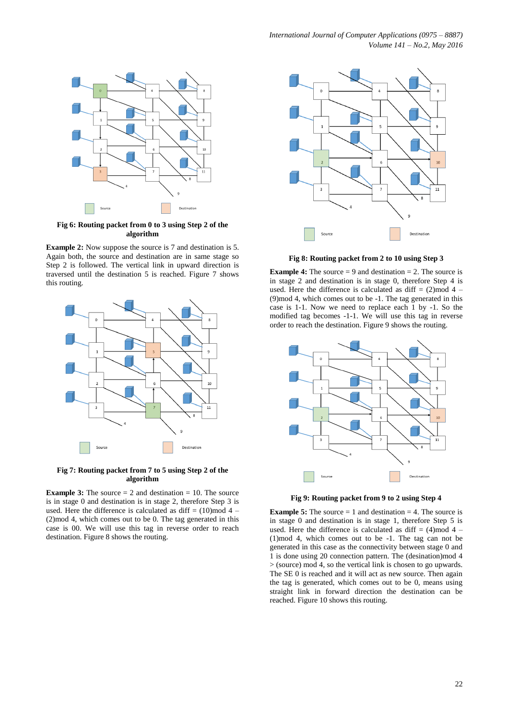

**Fig 6: Routing packet from 0 to 3 using Step 2 of the algorithm**

**Example 2:** Now suppose the source is 7 and destination is 5. Again both, the source and destination are in same stage so Step 2 is followed. The vertical link in upward direction is traversed until the destination 5 is reached. Figure 7 shows this routing.



**Fig 7: Routing packet from 7 to 5 using Step 2 of the algorithm**

**Example 3:** The source  $= 2$  and destination  $= 10$ . The source is in stage 0 and destination is in stage 2, therefore Step 3 is used. Here the difference is calculated as diff =  $(10)$ mod 4 – (2)mod 4, which comes out to be 0. The tag generated in this case is 00. We will use this tag in reverse order to reach destination. Figure 8 shows the routing.



**Fig 8: Routing packet from 2 to 10 using Step 3**

**Example 4:** The source  $= 9$  and destination  $= 2$ . The source is in stage 2 and destination is in stage 0, therefore Step 4 is used. Here the difference is calculated as diff  $= (2)$  mod 4 – (9)mod 4, which comes out to be -1. The tag generated in this case is 1-1. Now we need to replace each 1 by -1. So the modified tag becomes -1-1. We will use this tag in reverse order to reach the destination. Figure 9 shows the routing.



**Fig 9: Routing packet from 9 to 2 using Step 4**

**Example 5:** The source  $= 1$  and destination  $= 4$ . The source is in stage 0 and destination is in stage 1, therefore Step 5 is used. Here the difference is calculated as diff =  $(4)$ mod 4 – (1)mod 4, which comes out to be -1. The tag can not be generated in this case as the connectivity between stage 0 and 1 is done using 20 connection pattern. The (desination)mod 4 > (source) mod 4, so the vertical link is chosen to go upwards. The SE 0 is reached and it will act as new source. Then again the tag is generated, which comes out to be 0, means using straight link in forward direction the destination can be reached. Figure 10 shows this routing.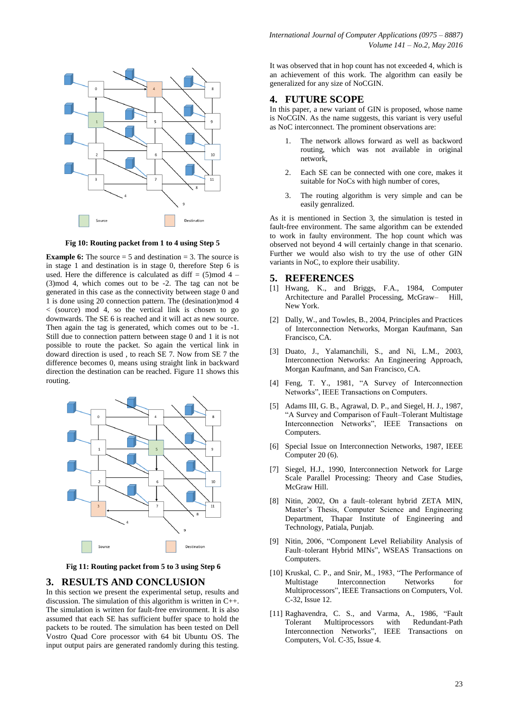

**Fig 10: Routing packet from 1 to 4 using Step 5**

**Example 6:** The source  $= 5$  and destination  $= 3$ . The source is in stage 1 and destination is in stage 0, therefore Step 6 is used. Here the difference is calculated as diff  $= (5)$  mod 4 – (3)mod 4, which comes out to be -2. The tag can not be generated in this case as the connectivity between stage 0 and 1 is done using 20 connection pattern. The (desination)mod 4 < (source) mod 4, so the vertical link is chosen to go downwards. The SE 6 is reached and it will act as new source. Then again the tag is generated, which comes out to be -1. Still due to connection pattern between stage 0 and 1 it is not possible to route the packet. So again the vertical link in doward direction is used , to reach SE 7. Now from SE 7 the difference becomes 0, means using straight link in backward direction the destination can be reached. Figure 11 shows this routing.



**Fig 11: Routing packet from 5 to 3 using Step 6**

## **3. RESULTS AND CONCLUSION**

In this section we present the experimental setup, results and discussion. The simulation of this algorithm is written in C++. The simulation is written for fault-free environment. It is also assumed that each SE has sufficient buffer space to hold the packets to be routed. The simulation has been tested on Dell Vostro Quad Core processor with 64 bit Ubuntu OS. The input output pairs are generated randomly during this testing.

It was observed that in hop count has not exceeded 4, which is an achievement of this work. The algorithm can easily be generalized for any size of NoCGIN.

## **4. FUTURE SCOPE**

In this paper, a new variant of GIN is proposed, whose name is NoCGIN. As the name suggests, this variant is very useful as NoC interconnect. The prominent observations are:

- The network allows forward as well as backword routing, which was not available in original network,
- 2. Each SE can be connected with one core, makes it suitable for NoCs with high number of cores,
- 3. The routing algorithm is very simple and can be easily genralized.

As it is mentioned in Section 3, the simulation is tested in fault-free environment. The same algorithm can be extended to work in faulty environment. The hop count which was observed not beyond 4 will certainly change in that scenario. Further we would also wish to try the use of other GIN variants in NoC, to explore their usability.

## **5. REFERENCES**

- [1] Hwang, K., and Briggs, F.A., 1984, Computer Architecture and Parallel Processing, McGraw– Hill, New York.
- [2] Dally, W., and Towles, B., 2004, Principles and Practices of Interconnection Networks, Morgan Kaufmann, San Francisco, CA.
- [3] Duato, J., Yalamanchili, S., and Ni, L.M., 2003, Interconnection Networks: An Engineering Approach, Morgan Kaufmann, and San Francisco, CA.
- [4] Feng, T. Y., 1981, "A Survey of Interconnection Networks", IEEE Transactions on Computers.
- [5] Adams III, G. B., Agrawal, D. P., and Siegel, H. J., 1987, "A Survey and Comparison of Fault–Tolerant Multistage Interconnection Networks", IEEE Transactions on Computers.
- [6] Special Issue on Interconnection Networks, 1987, IEEE Computer 20 (6).
- [7] Siegel, H.J., 1990, Interconnection Network for Large Scale Parallel Processing: Theory and Case Studies, McGraw Hill.
- [8] Nitin, 2002, On a fault–tolerant hybrid ZETA MIN, Master's Thesis, Computer Science and Engineering Department, Thapar Institute of Engineering and Technology, Patiala, Punjab.
- [9] Nitin, 2006, "Component Level Reliability Analysis of Fault–tolerant Hybrid MINs", WSEAS Transactions on Computers.
- [10] Kruskal, C. P., and Snir, M., 1983, "The Performance of Multistage Interconnection Networks for Multiprocessors", IEEE Transactions on Computers, Vol. C-32, Issue 12.
- [11] Raghavendra, C. S., and Varma, A., 1986, "Fault Tolerant Multiprocessors with Redundant-Path Interconnection Networks", IEEE Transactions on Computers, Vol. C-35, Issue 4.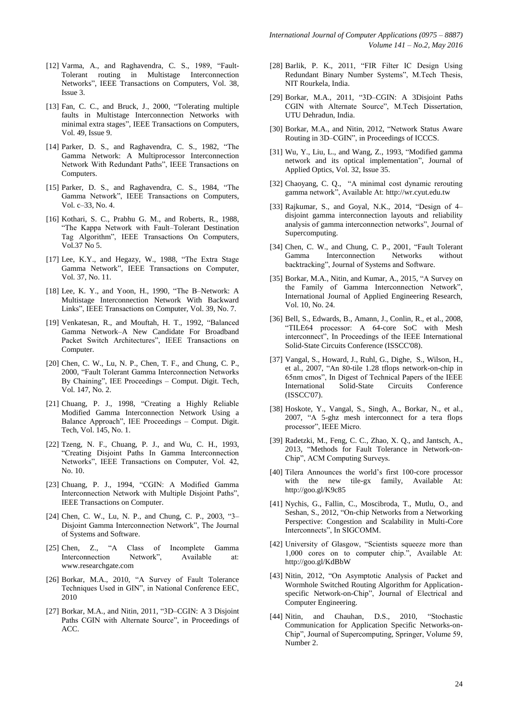- [12] Varma, A., and Raghavendra, C. S., 1989, "Fault-Tolerant routing in Multistage Interconnection Networks", IEEE Transactions on Computers, Vol. 38, Issue 3.
- [13] Fan, C. C., and Bruck, J., 2000, "Tolerating multiple faults in Multistage Interconnection Networks with minimal extra stages", IEEE Transactions on Computers, Vol. 49, Issue 9.
- [14] Parker, D. S., and Raghavendra, C. S., 1982, "The Gamma Network: A Multiprocessor Interconnection Network With Redundant Paths", IEEE Transactions on Computers.
- [15] Parker, D. S., and Raghavendra, C. S., 1984, "The Gamma Network", IEEE Transactions on Computers, Vol. c–33, No. 4.
- [16] Kothari, S. C., Prabhu G. M., and Roberts, R., 1988, "The Kappa Network with Fault–Tolerant Destination Tag Algorithm", IEEE Transactions On Computers, Vol.37 No 5.
- [17] Lee, K.Y., and Hegazy, W., 1988, "The Extra Stage Gamma Network", IEEE Transactions on Computer, Vol. 37, No. 11.
- [18] Lee, K. Y., and Yoon, H., 1990, "The B–Network: A Multistage Interconnection Network With Backward Links", IEEE Transactions on Computer, Vol. 39, No. 7.
- [19] Venkatesan, R., and Mouftah, H. T., 1992, "Balanced Gamma Network–A New Candidate For Broadband Packet Switch Architectures", IEEE Transactions on Computer.
- [20] Chen, C. W., Lu, N. P., Chen, T. F., and Chung, C. P., 2000, "Fault Tolerant Gamma Interconnection Networks By Chaining", IEE Proceedings – Comput. Digit. Tech, Vol. 147, No. 2.
- [21] Chuang, P. J., 1998, "Creating a Highly Reliable Modified Gamma Interconnection Network Using a Balance Approach", IEE Proceedings – Comput. Digit. Tech, Vol. 145, No. 1.
- [22] Tzeng, N. F., Chuang, P. J., and Wu, C. H., 1993, "Creating Disjoint Paths In Gamma Interconnection Networks", IEEE Transactions on Computer, Vol. 42, No. 10.
- [23] Chuang, P. J., 1994, "CGIN: A Modified Gamma Interconnection Network with Multiple Disjoint Paths", IEEE Transactions on Computer.
- [24] Chen, C. W., Lu, N. P., and Chung, C. P., 2003, "3– Disjoint Gamma Interconnection Network", The Journal of Systems and Software.
- [25] Chen, Z., "A Class of Incomplete Gamma Interconnection Network", Available at: www.researchgate.com
- [26] Borkar, M.A., 2010, "A Survey of Fault Tolerance Techniques Used in GIN", in National Conference EEC, 2010
- [27] Borkar, M.A., and Nitin, 2011, "3D–CGIN: A 3 Disjoint Paths CGIN with Alternate Source", in Proceedings of ACC.
- [28] Barlik, P. K., 2011, "FIR Filter IC Design Using Redundant Binary Number Systems", M.Tech Thesis, NIT Rourkela, India.
- [29] Borkar, M.A., 2011, "3D–CGIN: A 3Disjoint Paths CGIN with Alternate Source", M.Tech Dissertation, UTU Dehradun, India.
- [30] Borkar, M.A., and Nitin, 2012, "Network Status Aware Routing in 3D–CGIN", in Proceedings of ICCCS.
- [31] Wu, Y., Liu, L., and Wang, Z., 1993, "Modified gamma network and its optical implementation", Journal of Applied Optics, Vol. 32, Issue 35.
- [32] Chaoyang, C. Q., "A minimal cost dynamic rerouting gamma network", Available At: [http://wr.cyut.edu.tw](http://wr.cyut.edu.tw/)
- [33] Rajkumar, S., and Goyal, N.K., 2014, "Design of 4– disjoint gamma interconnection layouts and reliability analysis of gamma interconnection networks", Journal of Supercomputing.
- [34] Chen, C. W., and Chung, C. P., 2001, "Fault Tolerant Gamma Interconnection Networks without backtracking", Journal of Systems and Software.
- [35] Borkar, M.A., Nitin, and Kumar, A., 2015, "A Survey on the Family of Gamma Interconnection Network", International Journal of Applied Engineering Research, Vol. 10, No. 24.
- [36] Bell, S., Edwards, B., Amann, J., Conlin, R., et al., 2008, "TILE64 processor: A 64-core SoC with Mesh interconnect", In Proceedings of the IEEE International Solid-State Circuits Conference (ISSCC'08).
- [37] Vangal, S., Howard, J., Ruhl, G., Dighe, S., Wilson, H., et al., 2007, "An 80-tile 1.28 tflops network-on-chip in 65nm cmos", In Digest of Technical Papers of the IEEE International Solid-State Circuits Conference (ISSCC'07).
- [38] Hoskote, Y., Vangal, S., Singh, A., Borkar, N., et al., 2007, "A 5-ghz mesh interconnect for a tera flops processor", IEEE Micro.
- [39] Radetzki, M., Feng, C. C., Zhao, X. Q., and Jantsch, A., 2013, "Methods for Fault Tolerance in Network-on-Chip", ACM Computing Surveys.
- [40] Tilera Announces the world's first 100-core processor with the new tile-gx family, Available At: <http://goo.gl/K9c85>
- [41] Nychis, G., Fallin, C., Moscibroda, T., Mutlu, O., and Seshan, S., 2012, "On-chip Networks from a Networking Perspective: Congestion and Scalability in Multi-Core Interconnects", In SIGCOMM.
- [42] University of Glasgow, "Scientists squeeze more than 1,000 cores on to computer chip.", Available At: <http://goo.gl/KdBbW>
- [43] Nitin, 2012, "On Asymptotic Analysis of Packet and Wormhole Switched Routing Algorithm for Applicationspecific Network-on-Chip", Journal of Electrical and Computer Engineering.
- [44] Nitin, and Chauhan, D.S., 2010, "Stochastic Communication for Application Specific Networks-on-Chip", Journal of Supercomputing, Springer, Volume 59, Number 2.